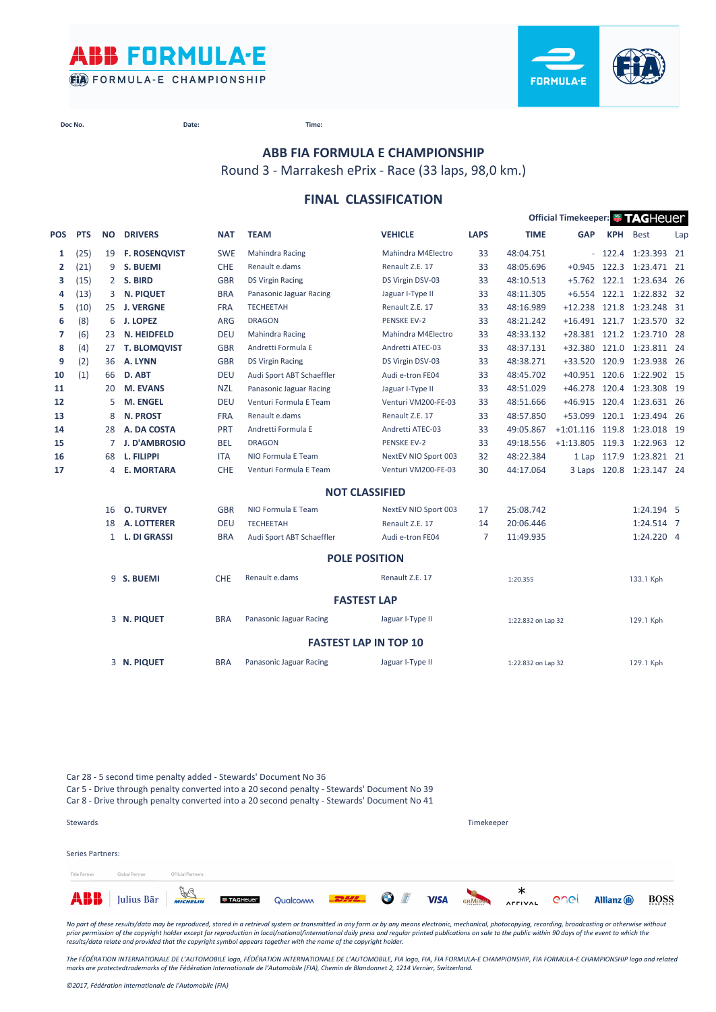



**Doc No. Date: Time:**

**ABB FIA FORMULA E CHAMPIONSHIP**

Round 3 - Marrakesh ePrix - Race (33 laps, 98,0 km.)

## **FINAL CLASSIFICATION**

|                |            |              |                      |            |                           |                              |             |                    | Official Timekeeper: <b>WITAGHEUER</b> |             |                           |     |
|----------------|------------|--------------|----------------------|------------|---------------------------|------------------------------|-------------|--------------------|----------------------------------------|-------------|---------------------------|-----|
| POS            | <b>PTS</b> | <b>NO</b>    | <b>DRIVERS</b>       | <b>NAT</b> | <b>TEAM</b>               | <b>VEHICLE</b>               | <b>LAPS</b> | <b>TIME</b>        | <b>GAP</b>                             | <b>KPH</b>  | <b>Best</b>               | Lap |
| 1              | (25)       | 19           | <b>F. ROSENQVIST</b> | <b>SWE</b> | <b>Mahindra Racing</b>    | Mahindra M4Electro           | 33          | 48:04.751          |                                        |             | $-122.4$ 1:23.393 21      |     |
| $\overline{2}$ | (21)       | 9            | S. BUEMI             | CHE        | Renault e.dams            | Renault Z.E. 17              | 33          | 48:05.696          | $+0.945$                               | 122.3       | 1:23.471 21               |     |
| 3              | (15)       |              | 2 S. BIRD            | <b>GBR</b> | <b>DS Virgin Racing</b>   | DS Virgin DSV-03             | 33          | 48:10.513          |                                        |             | +5.762 122.1 1:23.634 26  |     |
| 4              | (13)       | 3            | <b>N. PIQUET</b>     | <b>BRA</b> | Panasonic Jaguar Racing   | Jaguar I-Type II             | 33          | 48:11.305          |                                        |             | +6.554 122.1 1:22.832 32  |     |
| 5              | (10)       | 25           | <b>J. VERGNE</b>     | <b>FRA</b> | <b>TECHEETAH</b>          | Renault Z.E. 17              | 33          | 48:16.989          | $+12.238$                              | 121.8       | 1:23.248 31               |     |
| 6              | (8)        | 6            | J. LOPEZ             | <b>ARG</b> | <b>DRAGON</b>             | <b>PENSKE EV-2</b>           | 33          | 48:21.242          |                                        |             | +16.491 121.7 1:23.570 32 |     |
| 7              | (6)        | 23           | N. HEIDFELD          | <b>DEU</b> | <b>Mahindra Racing</b>    | Mahindra M4Electro           | 33          | 48:33.132          |                                        |             | +28.381 121.2 1:23.710 28 |     |
| 8              | (4)        | 27           | <b>T. BLOMQVIST</b>  | <b>GBR</b> | Andretti Formula E        | Andretti ATEC-03             | 33          | 48:37.131          |                                        |             | +32.380 121.0 1:23.811 24 |     |
| 9              | (2)        | 36           | A. LYNN              | <b>GBR</b> | <b>DS Virgin Racing</b>   | DS Virgin DSV-03             | 33          | 48:38.271          | $+33.520$                              | 120.9       | 1:23.938 26               |     |
| 10             | (1)        | 66           | D. ABT               | <b>DEU</b> | Audi Sport ABT Schaeffler | Audi e-tron FE04             | 33          | 48:45.702          | +40.951 120.6                          |             | 1:22.902 15               |     |
| 11             |            | 20           | <b>M. EVANS</b>      | <b>NZL</b> | Panasonic Jaguar Racing   | Jaguar I-Type II             | 33          | 48:51.029          | $+46.278$                              |             | 120.4 1:23.308 19         |     |
| 12             |            | 5            | <b>M. ENGEL</b>      | <b>DEU</b> | Venturi Formula E Team    | Venturi VM200-FE-03          | 33          | 48:51.666          | +46.915 120.4                          |             | 1:23.631 26               |     |
| 13             |            | 8            | <b>N. PROST</b>      | <b>FRA</b> | Renault e.dams            | Renault Z.E. 17              | 33          | 48:57.850          | $+53.099$                              |             | 120.1 1:23.494 26         |     |
| 14             |            | 28           | A. DA COSTA          | PRT        | Andretti Formula E        | Andretti ATEC-03             | 33          | 49:05.867          | $+1:01.116$                            | 119.8       | 1:23.018 19               |     |
| 15             |            | 7            | <b>J. D'AMBROSIO</b> | <b>BEL</b> | <b>DRAGON</b>             | <b>PENSKE EV-2</b>           | 33          | 49:18.556          | $+1:13.805$ 119.3                      |             | 1:22.963 12               |     |
| 16             |            | 68           | L. FILIPPI           | <b>ITA</b> | NIO Formula E Team        | NextEV NIO Sport 003         | 32          | 48:22.384          |                                        | 1 Lap 117.9 | 1:23.821 21               |     |
| 17             |            | 4            | <b>E. MORTARA</b>    | CHE        | Venturi Formula E Team    | Venturi VM200-FE-03          | 30          | 44:17.064          | 3 Laps 120.8                           |             | 1:23.147 24               |     |
|                |            |              |                      |            |                           | <b>NOT CLASSIFIED</b>        |             |                    |                                        |             |                           |     |
|                |            | 16           | <b>O. TURVEY</b>     | <b>GBR</b> | NIO Formula E Team        | NextEV NIO Sport 003         | 17          | 25:08.742          |                                        |             | 1:24.194 5                |     |
|                |            | 18           | <b>A. LOTTERER</b>   | <b>DEU</b> | <b>TECHEETAH</b>          | Renault Z.E. 17              | 14          | 20:06.446          |                                        |             | 1:24.514 7                |     |
|                |            | $\mathbf{1}$ | <b>L. DI GRASSI</b>  | <b>BRA</b> | Audi Sport ABT Schaeffler | Audi e-tron FE04             | 7           | 11:49.935          |                                        |             | 1:24.220 4                |     |
|                |            |              |                      |            |                           | <b>POLE POSITION</b>         |             |                    |                                        |             |                           |     |
|                |            |              | 9 S. BUEMI           | <b>CHE</b> | Renault e.dams            | Renault Z.E. 17              |             | 1:20.355           |                                        |             | 133.1 Kph                 |     |
|                |            |              |                      |            |                           | <b>FASTEST LAP</b>           |             |                    |                                        |             |                           |     |
|                |            |              | 3 N. PIQUET          | <b>BRA</b> | Panasonic Jaguar Racing   | Jaguar I-Type II             |             | 1:22.832 on Lap 32 |                                        |             | 129.1 Kph                 |     |
|                |            |              |                      |            |                           | <b>FASTEST LAP IN TOP 10</b> |             |                    |                                        |             |                           |     |
|                |            |              | 3 N. PIQUET          | <b>BRA</b> | Panasonic Jaguar Racing   | Jaguar I-Type II             |             | 1:22.832 on Lap 32 |                                        |             | 129.1 Kph                 |     |
|                |            |              |                      |            |                           |                              |             |                    |                                        |             |                           |     |

Car 28 - 5 second time penalty added - Stewards' Document No 36 Car 5 - Drive through penalty converted into a 20 second penalty - Stewards' Document No 39 Car 8 - Drive through penalty converted into a 20 second penalty - Stewards' Document No 41

| Stewards         |                |                   |                                           |  |             | Timekeeper             |                |      |                     |             |
|------------------|----------------|-------------------|-------------------------------------------|--|-------------|------------------------|----------------|------|---------------------|-------------|
| Series Partners: |                |                   |                                           |  |             |                        |                |      |                     |             |
| Title Partner    | Global Partner | Official Partners |                                           |  |             |                        |                |      |                     |             |
| ABB              | Julius Bär     |                   | <b>TAGHever</b> Qualcomm <b>-2444 (1)</b> |  | <b>VISA</b> | <b>CHAUGHA AFFIVAL</b> | <b>AFFIVAL</b> | enel | <b>Allianz</b> (II) | <b>BOSS</b> |

*No part of these results/data may be reproduced, stored in a retrieval system or transmitted in any form or by any means electronic, mechanical, photocopying, recording, broadcasting or otherwise without*  prior permission of the copyright holder except for reproduction in local/national/international daily press and regular printed publications on sale to the public within 90 days of the event to which the<br>results/data rela

*The FÉDÉRATION INTERNATIONALE DE L'AUTOMOBILE logo, FÉDÉRATION INTERNATIONALE DE L'AUTOMOBILE, FIA logo, FIA, FIA FORMULA-E CHAMPIONSHIP, FIA FORMULA-E CHAMPIONSHIP logo and related marks are protectedtrademarks of the Fédération Internationale de l'Automobile (FIA), Chemin de Blandonnet 2, 1214 Vernier, Switzerland.*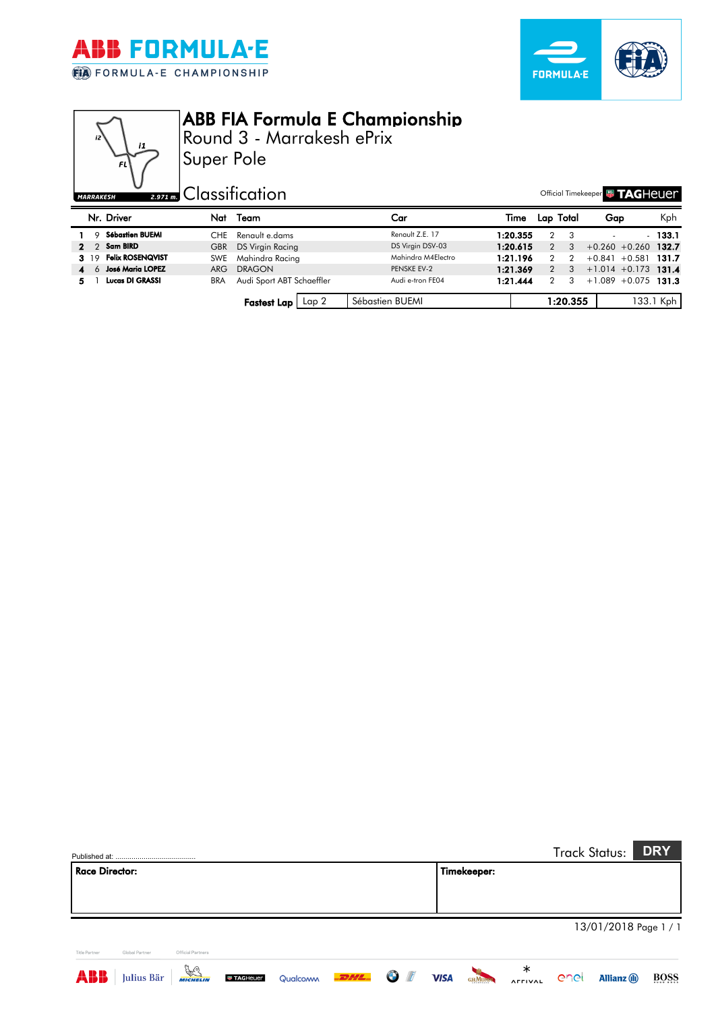



Official Timekeeper **& TAGHEUEM** 



## ABB FIA Formula E Championship

Round 3 - Marrakesh ePrix

Super Pole

| SΗ | <b>Exam</b> Classification |  |  |
|----|----------------------------|--|--|
|    |                            |  |  |

|          | Nr. Driver              | Nat        | Team                              | Car                | Time     |   | Lap Total | Gap                    | Kph       |
|----------|-------------------------|------------|-----------------------------------|--------------------|----------|---|-----------|------------------------|-----------|
|          | <b>Sébastien BUEMI</b>  | CHE        | Renault e.dams                    | Renault Z.E. 17    | 1:20.355 |   |           |                        | $-133.1$  |
| $2 \t2$  | Sam BIRD                | <b>GBR</b> | DS Virgin Racing                  | DS Virgin DSV-03   | 1:20.615 |   | 3         | $+0.260 +0.260$ 132.7  |           |
| 3. 19    | <b>Felix ROSENQVIST</b> |            | SWE Mahindra Racing               | Mahindra M4Electro | 1:21.196 |   | 2         | $+0.841 + 0.581$       | - 131.7   |
| 4<br>-6- | <b>José Maria LOPEZ</b> | ARG.       | <b>DRAGON</b>                     | PENSKE EV-2        | 1:21.369 | 2 | -3        | $+1.014 + 0.173$ 131.4 |           |
|          | <b>Lucas DI GRASSI</b>  | <b>BRA</b> | Audi Sport ABT Schaeffler         | Audi e-tron FE04   | 1:21.444 |   | 3         | $+1.089 + 0.075$ 131.3 |           |
|          |                         |            | <b>Fastest Lap</b> $\lceil$ Lap 2 | Sébastien BUEMI    |          |   | 1:20.355  |                        | 133.1 Kph |

|                                        |                      |                 |          |      |   |             |               |                     |      | <b>Track Status:</b> | <b>DRY</b>            |
|----------------------------------------|----------------------|-----------------|----------|------|---|-------------|---------------|---------------------|------|----------------------|-----------------------|
| <b>Race Director:</b>                  |                      |                 |          |      |   |             | Timekeeper:   |                     |      |                      |                       |
|                                        |                      |                 |          |      |   |             |               |                     |      |                      |                       |
|                                        |                      |                 |          |      |   |             |               |                     |      |                      |                       |
|                                        |                      |                 |          |      |   |             |               |                     |      |                      | 13/01/2018 Page 1 / 1 |
| <b>Title Partner</b><br>Global Partner | Official Partners    |                 |          |      |   |             |               |                     |      |                      |                       |
| ABB<br>Julius Bär                      | $\frac{1}{\sqrt{2}}$ | <b>TAGHeuer</b> | Qualcoww | 2242 | O | <b>VISA</b> | <b>GHMUMM</b> | ∗<br><b>AFFIVAL</b> | enel | <b>Allianz</b> (1)   | BOSS                  |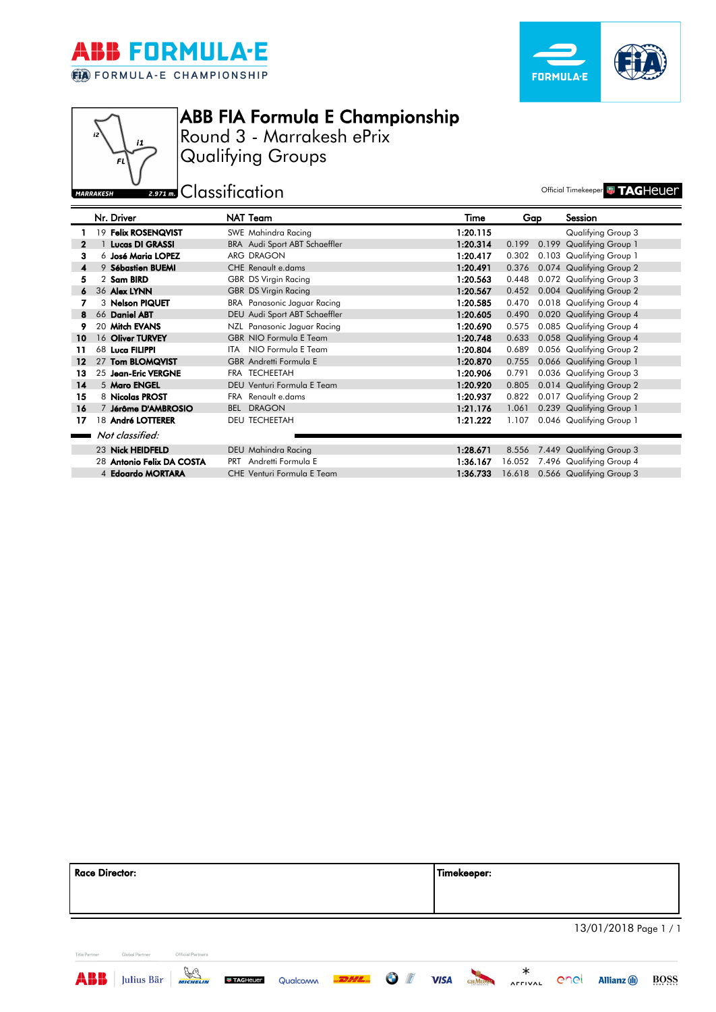





**MARRAKESH** 

ABB FIA Formula E Championship

Round 3 - Marrakesh ePrix Qualifying Groups

**Experiment Classification** and the second official Timekeeper **TAGHEUET** 

|                | Nr. Driver                |     | NAT Team                           | Time     | Gap    |       | Session                         |
|----------------|---------------------------|-----|------------------------------------|----------|--------|-------|---------------------------------|
|                | 19 Felix ROSENQVIST       |     | SWE Mahindra Racing                | 1:20.115 |        |       | Qualifying Group 3              |
| $\mathbf{2}$   | 1 Lucas DI GRASSI         |     | BRA Audi Sport ABT Schaeffler      | 1:20.314 | 0.199  | 0.199 | <b>Qualifying Group 1</b>       |
| 3              | 6 José Maria LOPEZ        |     | ARG DRAGON                         | 1:20.417 | 0.302  |       | 0.103 Qualifying Group 1        |
| $\overline{A}$ | 9 Sébastien BUEMI         |     | <b>CHE</b> Renault e.dams          | 1:20.491 | 0.376  |       | 0.074 Qualifying Group 2        |
| 5              | 2 Sam BIRD                |     | GBR DS Virgin Racing               | 1:20.563 | 0.448  |       | 0.072 Qualifying Group 3        |
| 6              | 36 Alex LYNN              |     | <b>GBR DS Virgin Racing</b>        | 1:20.567 | 0.452  |       | 0.004 Qualifying Group 2        |
|                | 3 Nelson PIQUET           |     | <b>BRA</b> Panasonic Jaguar Racing | 1:20.585 | 0.470  |       | 0.018 Qualifying Group 4        |
| 8              | 66 Daniel ABT             |     | DEU Audi Sport ABT Schaeffler      | 1:20.605 | 0.490  |       | 0.020 Qualifying Group 4        |
| 9              | 20 Mitch EVANS            |     | NZL Panasonic Jaguar Racing        | 1:20.690 | 0.575  |       | 0.085 Qualifying Group 4        |
| 10             | 16 Oliver TURVEY          |     | GBR NIO Formula E Team             | 1:20.748 | 0.633  |       | 0.058 Qualifying Group 4        |
| 11             | 68 Luca FILIPPI           |     | ITA NIO Formula E Team             | 1:20.804 | 0.689  |       | 0.056 Qualifying Group 2        |
| $12 \,$        | 27 Tom BLOMQVIST          |     | GBR Andretti Formula E             | 1:20.870 | 0.755  |       | 0.066 Qualifying Group 1        |
| 13             | 25 Jean-Eric VERGNE       |     | FRA TECHEETAH                      | 1:20.906 | 0.791  |       | 0.036 Qualifying Group 3        |
| 14             | 5 Maro ENGEL              |     | DEU Venturi Formula E Team         | 1:20.920 | 0.805  |       | 0.014 Qualifying Group 2        |
| 15             | 8 Nicolas PROST           |     | FRA Renault e.dams                 | 1:20.937 | 0.822  |       | 0.017 Qualifying Group 2        |
| 16             | 7 Jérôme D'AMBROSIO       | BEL | <b>DRAGON</b>                      | 1:21.176 | 1.061  |       | 0.239 Qualifying Group 1        |
| 17             | 18 André LOTTERER         |     | <b>DEU TECHEETAH</b>               | 1:21.222 | 1.107  |       | 0.046 Qualifying Group 1        |
|                | Not classified:           |     |                                    |          |        |       |                                 |
|                | 23 Nick HEIDFELD          |     | DEU Mahindra Racing                | 1:28.671 | 8.556  |       | 7.449 Qualifying Group 3        |
|                | 28 Antonio Felix DA COSTA |     | PRT Andretti Formula E             | 1:36.167 | 16.052 |       | 7.496 Qualifying Group 4        |
|                | 4 Edoardo MORTARA         |     | CHE Venturi Formula E Team         | 1:36.733 |        |       | 16.618 0.566 Qualifying Group 3 |

| Race Director: |                |                   | Timekeeper: |                       |
|----------------|----------------|-------------------|-------------|-----------------------|
|                |                |                   |             |                       |
|                |                |                   |             | 13/01/2018 Page 1 / 1 |
| Title Partner  | Global Partner | Official Partners |             |                       |





**AFFIVAL**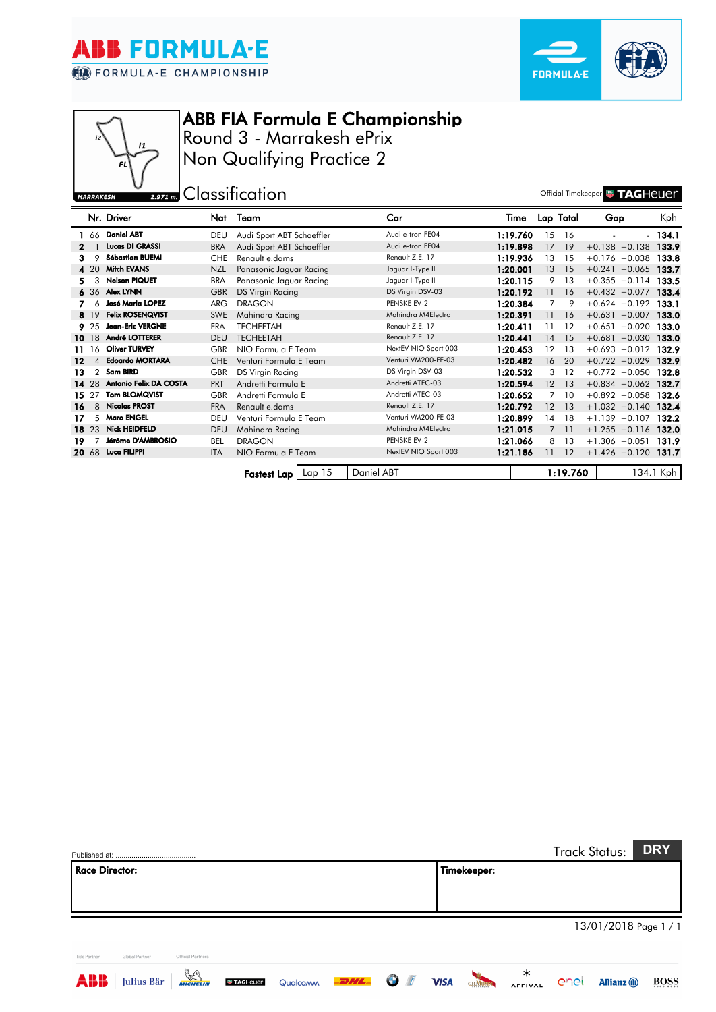

j,



## ABB FIA Formula E Championship

Round 3 - Marrakesh ePrix Non Qualifying Practice 2

**U**<sub>2.971</sub> **m.** Classification **C** Classification MARRAKESH

|       |       | Nr. Driver              | Nat        | Team                      | Car                  | Time     |                | Lap Total | Gap              | Kph.      |
|-------|-------|-------------------------|------------|---------------------------|----------------------|----------|----------------|-----------|------------------|-----------|
|       |       |                         |            |                           |                      |          |                |           |                  |           |
|       |       | 1 66 Daniel ABT         | DEU        | Audi Sport ABT Schaeffler | Audi e-tron FE04     | 1:19.760 | 15             | 16        | $\overline{a}$   | $-134.1$  |
|       |       | <b>Lucas DI GRASSI</b>  | <b>BRA</b> | Audi Sport ABT Schaeffler | Audi e-tron FE04     | 1:19.898 | 17             | 19        | $+0.138 + 0.138$ | 133.9     |
| 3     | 9     | <b>Sébastien BUEMI</b>  | <b>CHE</b> | Renault e.dams            | Renault Z.E. 17      | 1:19.936 | 13             | 15        | $+0.176 + 0.038$ | 133.8     |
|       | 420   | <b>Mitch EVANS</b>      | <b>NZL</b> | Panasonic Jaguar Racing   | Jaguar I-Type II     | 1:20.001 | 13             | 15        | $+0.241 + 0.065$ | 133.7     |
| 5.    | 3     | <b>Nelson PIQUET</b>    | <b>BRA</b> | Panasonic Jaguar Racing   | Jaguar I-Type II     | 1:20.115 | 9              | 13        | $+0.355 +0.114$  | 133.5     |
|       |       | 6 36 Alex LYNN          | <b>GBR</b> | DS Virgin Racing          | DS Virgin DSV-03     | 1:20.192 | 11             | 16        | $+0.432 + 0.077$ | 133.4     |
|       | 6     | <b>José Maria LOPEZ</b> | <b>ARG</b> | <b>DRAGON</b>             | PENSKE EV-2          | 1:20.384 | 7              | 9         | $+0.624 +0.192$  | 133.1     |
|       | 8 19  | <b>Felix ROSENQVIST</b> | <b>SWE</b> | Mahindra Racing           | Mahindra M4Electro   | 1:20.391 | 11             | 16        | $+0.631 + 0.007$ | 133.0     |
|       | 9.25  | <b>Jean-Eric VERGNE</b> | <b>FRA</b> | <b>TECHEETAH</b>          | Renault Z.E. 17      | 1:20.411 | 11             | 12        | $+0.651 + 0.020$ | 133.0     |
|       | 10 18 | André LOTTERER          | <b>DEU</b> | <b>TECHEETAH</b>          | Renault Z.E. 17      | 1:20.441 | 14             | 15        | $+0.681 + 0.030$ | 133.0     |
| 11    | 16    | <b>Oliver TURVEY</b>    | <b>GBR</b> | NIO Formula E Team        | NextEV NIO Sport 003 | 1:20.453 | 12             | 13        | $+0.693 +0.012$  | 132.9     |
| 12    | 4     | <b>Edoardo MORTARA</b>  | <b>CHE</b> | Venturi Formula E Team    | Venturi VM200-FE-03  | 1:20.482 | 16             | 20        | $+0.722 + 0.029$ | 132.9     |
| 13    | 2     | <b>Sam BIRD</b>         | <b>GBR</b> | DS Virgin Racing          | DS Virgin DSV-03     | 1:20.532 | 3              | 12        | $+0.772 +0.050$  | 132.8     |
|       | 14 28 | Antonio Felix DA COSTA  | <b>PRT</b> | Andretti Formula E        | Andretti ATEC-03     | 1:20.594 | 12             | 13        | $+0.834 + 0.062$ | 132.7     |
| 15 27 |       | <b>Tom BLOMQVIST</b>    | GBR        | Andretti Formula E        | Andretti ATEC-03     | 1:20.652 | 7              | 10        | $+0.892 + 0.058$ | 132.6     |
| 16    | 8     | <b>Nicolas PROST</b>    | <b>FRA</b> | Renault e.dams            | Renault Z.E. 17      | 1:20.792 | 12             | 13        | $+1.032 +0.140$  | 132.4     |
| 17    | 5     | <b>Maro ENGEL</b>       | DEU        | Venturi Formula E Team    | Venturi VM200-FE-03  | 1:20.899 | 14             | 18        | $+1.139 + 0.107$ | 132.2     |
|       | 18 23 | <b>Nick HEIDFELD</b>    | <b>DEU</b> | Mahindra Racing           | Mahindra M4Electro   | 1:21.015 | $\overline{7}$ | <b>11</b> | $+1.255 +0.116$  | 132.0     |
| 19    |       | Jérôme D'AMBROSIO       | <b>BEL</b> | <b>DRAGON</b>             | PENSKE EV-2          | 1:21.066 | 8              | 13        | $+1.306 + 0.051$ | 131.9     |
|       | 20 68 | Luca FILIPPI            | <b>ITA</b> | NIO Formula E Team        | NextEV NIO Sport 003 | 1:21.186 | 11             | 12        | $+1.426 +0.120$  | 131.7     |
|       |       |                         |            |                           |                      |          |                |           |                  |           |
|       |       |                         |            | Lap 15<br>Fastest Lap I   | Daniel ABT           |          |                | 1:19.760  |                  | 134.1 Kph |

|                       |                |                      |                 |          |            |   |             |               |   |      | Track Status:         | <b>DRY</b>  |
|-----------------------|----------------|----------------------|-----------------|----------|------------|---|-------------|---------------|---|------|-----------------------|-------------|
| <b>Race Director:</b> |                |                      |                 |          |            |   |             | Timekeeper:   |   |      |                       |             |
|                       |                |                      |                 |          |            |   |             |               |   |      |                       |             |
|                       |                |                      |                 |          |            |   |             |               |   |      |                       |             |
|                       |                |                      |                 |          |            |   |             |               |   |      | 13/01/2018 Page 1 / 1 |             |
|                       |                |                      |                 |          |            |   |             |               |   |      |                       |             |
| <b>Title Partner</b>  | Global Partner | Official Partners    |                 |          |            |   |             |               |   |      |                       |             |
| a ii ii               | Julius Bär     | $\frac{D}{MICHELIM}$ | <b>TAGHeuer</b> | Qualcoww | <b>DHL</b> | G | <b>VISA</b> | <b>GHMUMM</b> | ∗ | enei | <b>Allianz</b> (ii)   | <b>BOSS</b> |